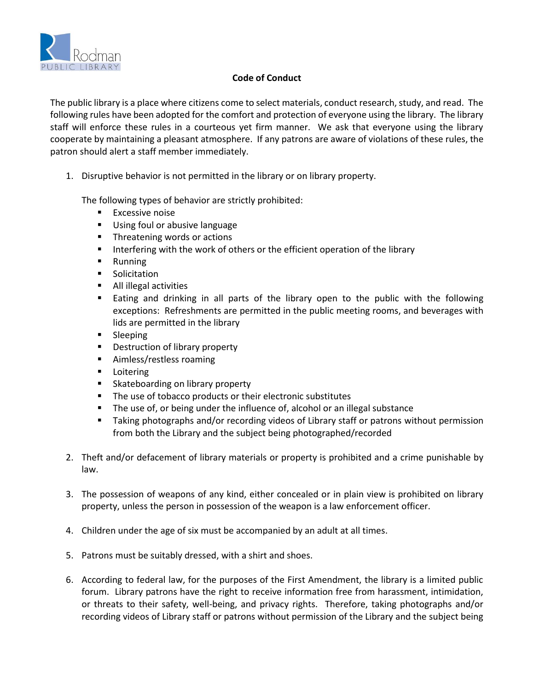

## **Code of Conduct**

The public library is a place where citizens come to select materials, conduct research, study, and read. The following rules have been adopted for the comfort and protection of everyone using the library. The library staff will enforce these rules in a courteous yet firm manner. We ask that everyone using the library cooperate by maintaining a pleasant atmosphere. If any patrons are aware of violations of these rules, the patron should alert a staff member immediately.

1. Disruptive behavior is not permitted in the library or on library property.

The following types of behavior are strictly prohibited:

- **Excessive noise**
- **Using foul or abusive language**
- **Threatening words or actions**
- Interfering with the work of others or the efficient operation of the library
- **Running**
- **Solicitation**
- **All illegal activities**
- **Eating and drinking in all parts of the library open to the public with the following** exceptions: Refreshments are permitted in the public meeting rooms, and beverages with lids are permitted in the library
- **Sleeping**
- **Destruction of library property**
- Aimless/restless roaming
- **Loitering**
- **Skateboarding on library property**
- The use of tobacco products or their electronic substitutes
- The use of, or being under the influence of, alcohol or an illegal substance
- Taking photographs and/or recording videos of Library staff or patrons without permission from both the Library and the subject being photographed/recorded
- 2. Theft and/or defacement of library materials or property is prohibited and a crime punishable by law.
- 3. The possession of weapons of any kind, either concealed or in plain view is prohibited on library property, unless the person in possession of the weapon is a law enforcement officer.
- 4. Children under the age of six must be accompanied by an adult at all times.
- 5. Patrons must be suitably dressed, with a shirt and shoes.
- 6. According to federal law, for the purposes of the First Amendment, the library is a limited public forum. Library patrons have the right to receive information free from harassment, intimidation, or threats to their safety, well-being, and privacy rights. Therefore, taking photographs and/or recording videos of Library staff or patrons without permission of the Library and the subject being